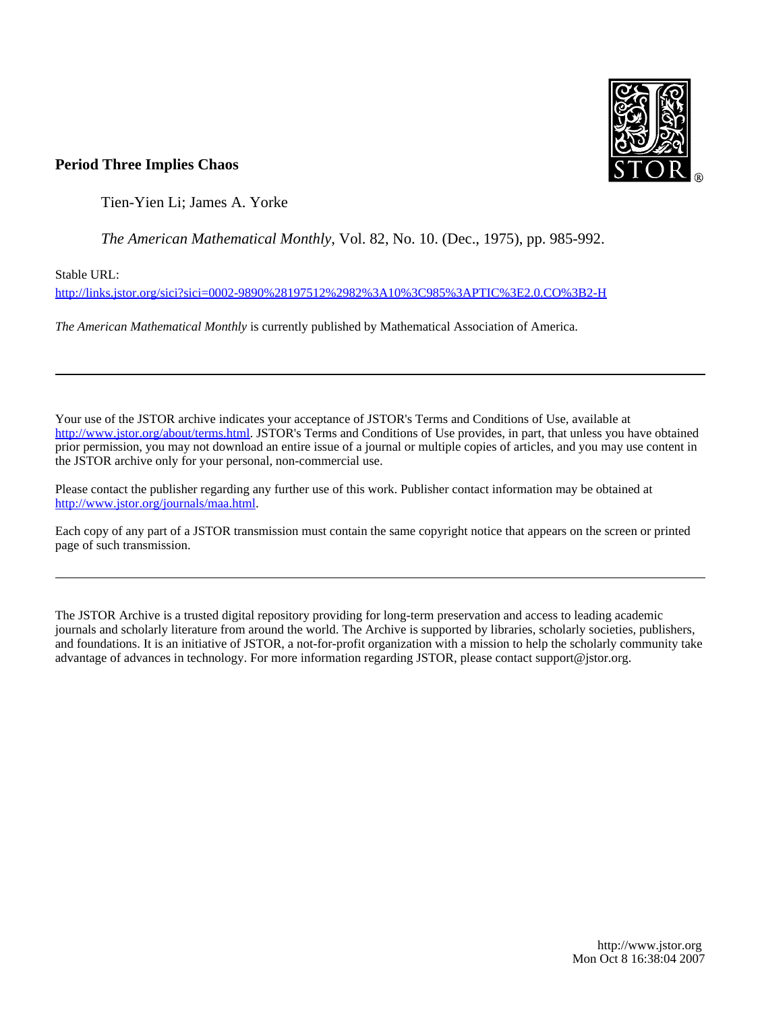

# **Period Three Implies Chaos**

Tien-Yien Li; James A. Yorke

*The American Mathematical Monthly*, Vol. 82, No. 10. (Dec., 1975), pp. 985-992.

Stable URL:

<http://links.jstor.org/sici?sici=0002-9890%28197512%2982%3A10%3C985%3APTIC%3E2.0.CO%3B2-H>

*The American Mathematical Monthly* is currently published by Mathematical Association of America.

Your use of the JSTOR archive indicates your acceptance of JSTOR's Terms and Conditions of Use, available at [http://www.jstor.org/about/terms.html.](http://www.jstor.org/about/terms.html) JSTOR's Terms and Conditions of Use provides, in part, that unless you have obtained prior permission, you may not download an entire issue of a journal or multiple copies of articles, and you may use content in the JSTOR archive only for your personal, non-commercial use.

Please contact the publisher regarding any further use of this work. Publisher contact information may be obtained at <http://www.jstor.org/journals/maa.html>.

Each copy of any part of a JSTOR transmission must contain the same copyright notice that appears on the screen or printed page of such transmission.

The JSTOR Archive is a trusted digital repository providing for long-term preservation and access to leading academic journals and scholarly literature from around the world. The Archive is supported by libraries, scholarly societies, publishers, and foundations. It is an initiative of JSTOR, a not-for-profit organization with a mission to help the scholarly community take advantage of advances in technology. For more information regarding JSTOR, please contact support@jstor.org.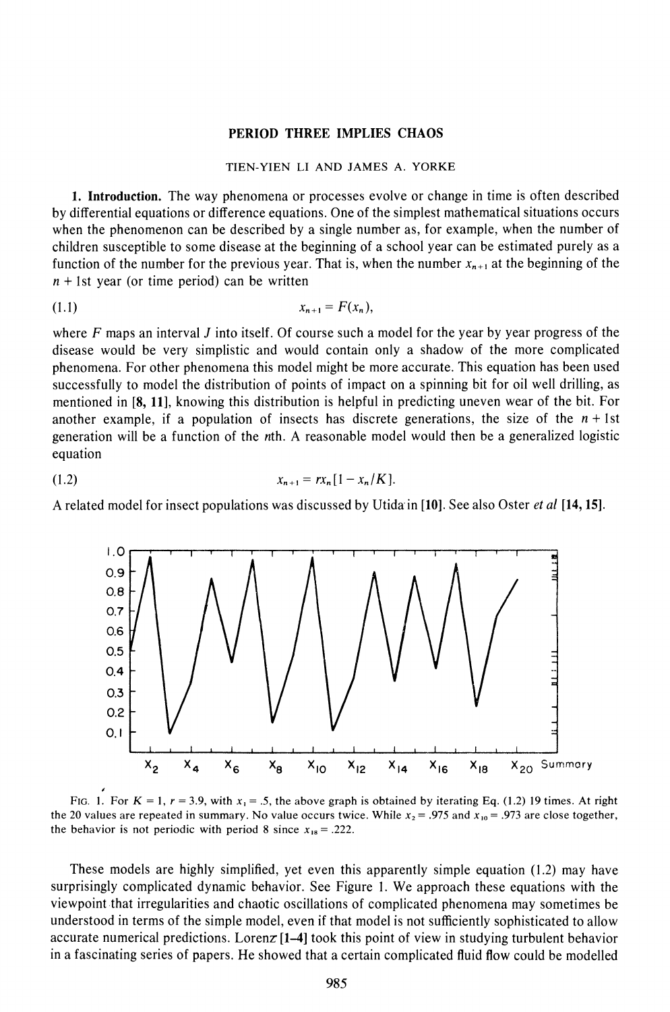## **PERIOD THREE IMPLIES CHAOS**

# *TIEN-YIEN LI AND JAMES A. YORKE*

**1. Introduction.** The way phenomena or processes evolve or change in time is often described by differential equations or difference equations. One of the simplest mathematical situations occurs when the phenomenon can be described by a single number as, for example, when the number of children susceptible to some disease at the beginning of a school year can be estimated purely as a function of the number for the previous year. That is, when the number  $x_{n+1}$  at the beginning of the  $n + 1$ st year (or time period) can be written

$$
(1.1) \t\t x_{n+1} = F(x_n),
$$

where  $F$  maps an interval  $J$  into itself. Of course such a model for the year by year progress of the disease would be very simplistic and would contain only a shadow of the more complicated phenomena. For other phenomena this model might be more accurate. This equation has been used successfully to model the distribution of points of impact on a spinning bit for oil well drilling, as mentioned in **[8, 111,** knowing this distribution is helpful in predicting uneven wear of the bit. For another example, if a population of insects has discrete generations, the size of the  $n + 1$ st generation will be a function of the nth. **A** reasonable model would then be a generalized logistic equation

$$
(1.2) \t\t x_{n+1} = rx_n[1-x_n/K].
$$

**A** related model for insect populations was discussed by Utidain **[lo].**See also Oster *et* a1 **[14,15]** 



*the 20 values are repeated in summary. No value occurs twice. While*  $x_2 = .975$  *and*  $x_{10} = .973$  *are close together,* the behavior is not periodic with period 8 since  $x_{18} = .222$ .

These models are highly simplified, yet even this apparently simple equation (1.2) may have surprisingly complicated dynamic behavior. See Figure I. We approach these equations with the viewpoint that irregularities and chaotic oscillations of complicated phenomena may sometimes be understood in terms of the simple model, even if that model is not sufficiently sophisticated to allow accurate numerical predictions. Lorenz **[1-4]** took this point of view in studying turbulent behavior in a fascinating series of papers. He showed that a certain complicated fluid flow could be modelled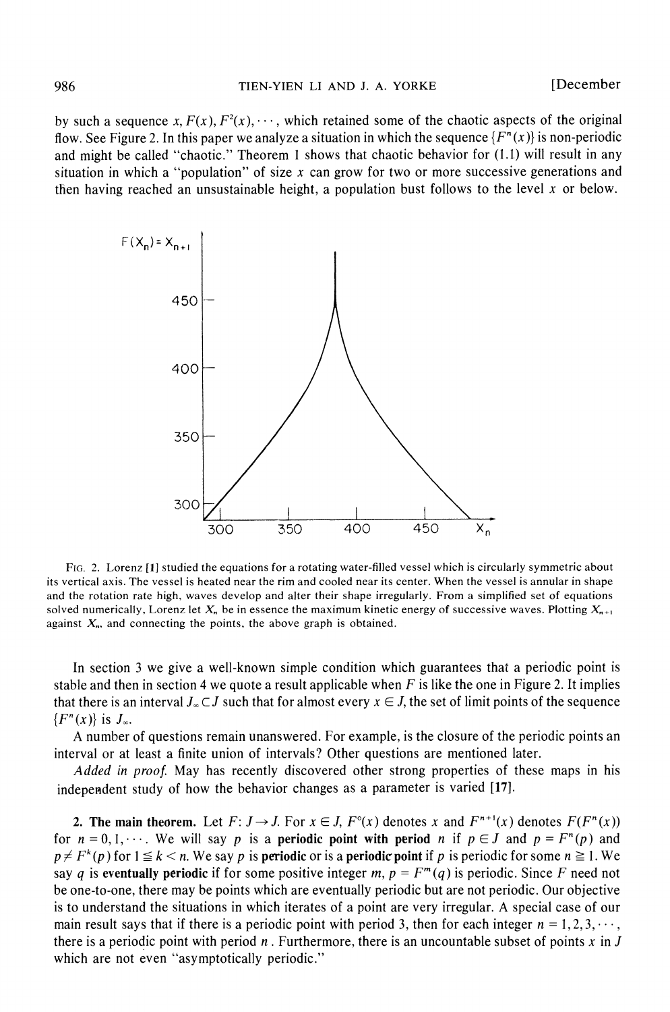by such a sequence x,  $F(x)$ ,  $F^2(x)$ ,  $\cdots$ , which retained some of the chaotic aspects of the original flow. See Figure 2. In this paper we analyze a situation in which the sequence  $\{F^n(x)\}\$ is non-periodic and might be called "chaotic." Theorem *1* shows that chaotic behavior for *(1.1)* will result in any situation in which a "population" of size *x* can grow for two or more successive generations and then having reached an unsustainable height, a population bust follows to the level *x* or below.



FIG 2. Lorenz **[I]** studied the equations for a rotating water-filled vessel which is circularly symmetric about its vertical axis. The vessel is heated near the rim and cooled near its center. When the vessel is annular in shape and the rotation rate high, waves develop and alter their shape irregularly. From a simplified set of equations solved numerically, Lorenz let  $X_n$  be in essence the maximum kinetic energy of successive waves. Plotting  $X_{n+1}$ against  $X_n$ , and connecting the points, the above graph is obtained.

In section *3* we give a well-known simple condition which guarantees that a periodic point is stable and then in section 4 we quote a result applicable when *F* is like the one in Figure *2.* It implies that there is an interval  $J_{\infty} \subset J$  such that for almost every  $x \in J$ , the set of limit points of the sequence  $\{F^n(x)\}\$ is  $J_\infty$ .

A number of questions remain unanswered. For example, is the closure of the periodic points an interval or at least a finite union of intervals? Other questions are mentioned later.

Added in proof. May has recently discovered other strong properties of these maps in his independent study of how the behavior changes as a parameter is varied **[17].** 

2. The main theorem. Let  $F: J \to J$ . For  $x \in J$ ,  $F^{\circ}(x)$  denotes  $x$  and  $F^{n+1}(x)$  denotes  $F(F^{n}(x))$ for  $n = 0, 1, \dots$ . We will say p is a periodic point with period n if  $p \in J$  and  $p = F^{n}(p)$  and  $p \neq F^k(p)$  for  $1 \leq k < n$ . We say *p* is **periodic** or is a **periodic point** if *p* is periodic for some  $n \geq 1$ . We say q is eventually periodic if for some positive integer  $m$ ,  $p = F<sup>m</sup>(q)$  is periodic. Since F need not be one-to-one, there may be points which are eventually periodic but are not periodic. Our objective is to understand the situations in which iterates of a point are very irregular. A special case of our main result says that if there is a periodic point with period 3, then for each integer  $n = 1, 2, 3, \dots$ , there is a periodic point with period  $n$ . Furthermore, there is an uncountable subset of points  $x$  in  $J$ which are not even "asymptotically periodic."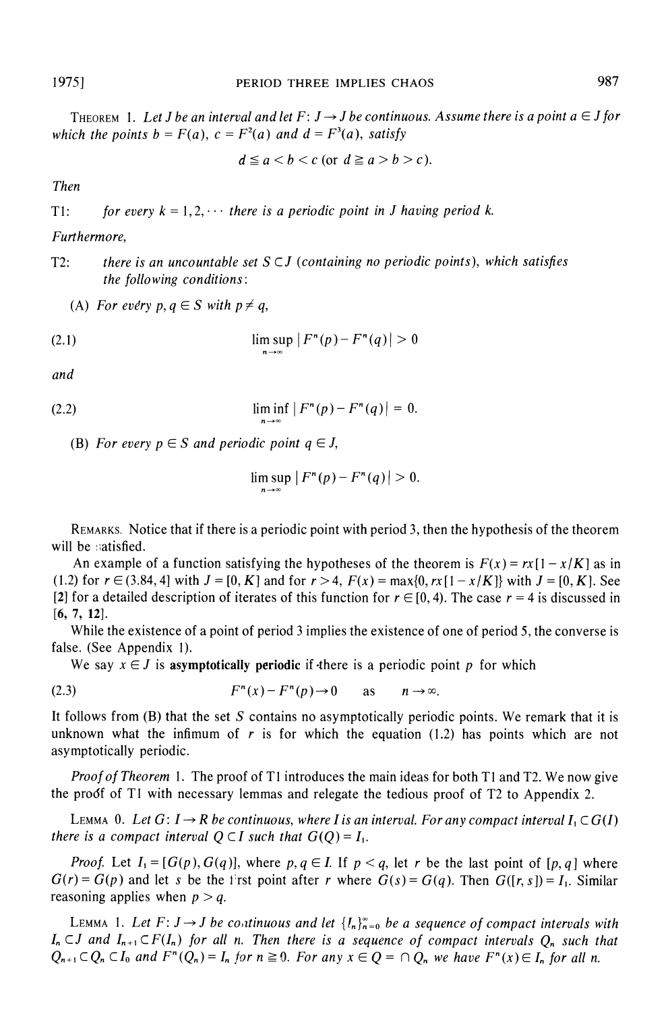THEOREM 1. Let *J* be an interval and let  $F: J \rightarrow J$  be continuous. Assume there is a point a  $\in J$  for *which the points b =*  $F(a)$ *, c =*  $F^2(a)$  *and d =*  $F^3(a)$ *, satisfy* 

$$
d \le a < b < c \text{ (or } d \ge a > b > c).
$$

*Then* 

*T1: for every*  $k = 1, 2, \cdots$  *there is a periodic point in J having period k.* 

## *Furthermore,*

*T2: there is an uncountable set S C J (containing no periodic points), which satisfies the following conditions:* 

(A) *For every p, q*  $\in$  *S* with  $p \neq q$ ,

(2.1) 
$$
\limsup_{n \to \infty} |F^n(p) - F^n(q)| > 0
$$

*and* 

(2.2) 
$$
\liminf_{n \to \infty} |F^{n}(p) - F^{n}(q)| = 0.
$$

(B) For every  $p \in S$  and periodic point  $q \in J$ ,

$$
\limsup_{n\to\infty}|F^n(p)-F^n(q)|>0.
$$

REMARKS. Notice that if there is a periodic point with period 3, then the hypothesis of the theorem will be satisfied.

An example of a function satisfying the hypotheses of the theorem is  $F(x) = rx[1 - x/K]$  as in *(1.2)* for  $r \in (3.84, 4]$  with  $J = [0, K]$  and for  $r > 4$ ,  $F(x) = \max\{0, rx[1 - x/K]\}$  with  $J = [0, K]$ . See [2] for a detailed description of iterates of this function for  $r \in [0, 4)$ . The case  $r = 4$  is discussed in **[6, 7,** *121.* 

While the existence of a point of period *3* implies the existence of one of period 5, the converse is false. (See Appendix 1).

We say  $x \in J$  is **asymptotically periodic** if there is a periodic point p for which

(2.3) 
$$
F^{n}(x) - F^{n}(p) \to 0 \quad \text{as} \quad n \to \infty.
$$

It follows from *(B)*that the set *S* contains no asymptotically periodic points. We remark that it is unknown what the infimum of *r* is for which the equation *(1.2)* has points which are not asymptotically periodic.

*Proof of Theorem 1.* The proof of *T1* introduces the main ideas for both *T1* and *T2.* We now give the prodf of *TI* with necessary lemmas and relegate the tedious proof of *T2* to Appendix *2.* 

LEMMA 0. Let  $G: I \to R$  be continuous, where I is an interval. For any compact interval  $I_1 \subset G(I)$ *there is a compact interval*  $Q \subset I$  *such that*  $G(Q) = I_1$ *.* 

*Proof.* Let  $I_1 = [G(p), G(q)]$ , where  $p, q \in I$ . If  $p < q$ , let r be the last point of  $[p, q]$  where  $G(r) = G(p)$  and let *s* be the i'rst point after *r* where  $G(s) = G(q)$ . Then  $G([r, s]) = I_1$ . Similar reasoning applies when  $p > q$ .

LEMMA 1. Let  $F: J \rightarrow J$  be continuous and let  $\{I_n\}_{n=0}^{\infty}$  be a sequence of compact intervals with  $I_n \subset J$  and  $I_{n+1} \subset F(I_n)$  for all *n*. Then there is a sequence of compact intervals  $Q_n$  such that  $Q_{n+1} \subset Q_n \subset I_0$  and  $F^n(Q_n) = I_n$  for  $n \ge 0$ . For any  $x \in Q = \bigcap Q_n$  we have  $F^n(x) \in I_n$  for all n.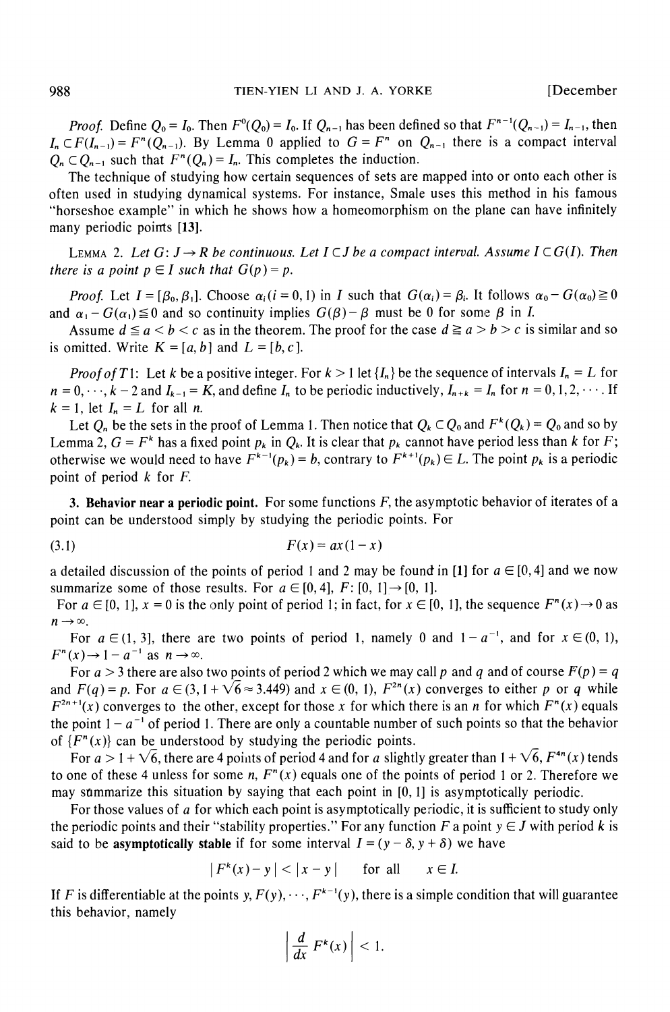*Proof.* Define  $Q_0 = I_0$ . Then  $F^0(Q_0) = I_0$ . If  $Q_{n-1}$  has been defined so that  $F^{n-1}(Q_{n-1}) = I_{n-1}$ , then  $I_n \subset F(I_{n-1}) = F^n(Q_{n-1})$ . By Lemma 0 applied to  $G = F^n$  on  $Q_{n-1}$  there is a compact interval  $Q_n \subset Q_{n-1}$  such that  $F^n(Q_n) = I_n$ . This completes the induction.

The technique of studying how certain sequences of sets are mapped into or onto each other is often used in studying dynamical systems. For instance, Smale uses this method in his famous "horseshoe example" in which he shows how a homeomorphism on the plane can have infinitely many periodic points [13].

**LEMMA 2.** Let  $G: J \rightarrow R$  be continuous. Let  $I \subset J$  be a compact interval. Assume  $I \subset G(I)$ . Then *there is a point*  $p \in I$  *such that*  $G(p) = p$ .

*Proof.* Let  $I = [\beta_0, \beta_1]$ . Choose  $\alpha_i (i = 0, 1)$  in *I* such that  $G(\alpha_i) = \beta_i$ . It follows  $\alpha_0 - G(\alpha_0) \ge 0$ and  $\alpha_1 - G(\alpha_1) \leq 0$  and so continuity implies  $G(\beta) - \beta$  must be 0 for some  $\beta$  in *I*.

Assume  $d \le a < b < c$  as in the theorem. The proof for the case  $d \ge a > b > c$  is similar and so is omitted. Write  $K = [a, b]$  and  $L = [b, c]$ .

*Proof of T1:* Let *k* be a positive integer. For  $k > 1$  let  $\{I_n\}$  be the sequence of intervals  $I_n = L$  for  $n = 0, \dots, k-2$  and  $I_{k-1} = K$ , and define  $I_n$  to be periodic inductively,  $I_{n+k} = I_n$  for  $n = 0, 1, 2, \dots$ . If  $k = 1$ , let  $I_n = L$  for all *n*.

Let  $Q_n$  be the sets in the proof of Lemma 1. Then notice that  $Q_k \subset Q_0$  and  $F^k(Q_k) = Q_0$  and so by Lemma 2,  $G = F^k$  has a fixed point  $p_k$  in  $Q_k$ . It is clear that  $p_k$  cannot have period less than k for F; otherwise we would need to have  $F^{k-1}(p_k) = b$ , contrary to  $F^{k+1}(p_k) \in L$ . The point  $p_k$  is a periodic point of period k for *F.* 

3. **Behavior near a periodic point.** For some functions *F,* the asymptotic behavior of iterates of a point can be understood simply by studying the periodic points. For

$$
(3.1) \tF(x) = ax(1-x)
$$

a detailed discussion of the points of period 1 and 2 may be found in [1] for  $a \in [0,4]$  and we now summarize some of those results. For  $a \in [0, 4]$ ,  $F: [0, 1] \rightarrow [0, 1]$ .

For  $a \in [0, 1]$ ,  $x = 0$  is the only point of period 1; in fact, for  $x \in [0, 1]$ , the sequence  $F^{n}(x) \rightarrow 0$  as  $n \rightarrow \infty$ .

For  $a \in (1, 3]$ , there are two points of period 1, namely 0 and  $1 - a^{-1}$ , and for  $x \in (0, 1)$ ,  $F^{n}(x) \rightarrow 1-a^{-1}$  as  $n \rightarrow \infty$ .

For  $a > 3$  there are also two points of period 2 which we may call p and q and of course  $F(p) = q$ and  $F(q) = p$ . For  $a \in (3, 1 + \sqrt{6} \approx 3.449)$  and  $x \in (0, 1)$ ,  $F^{2n}(x)$  converges to either p or q while  $F^{2n+1}(x)$  converges to the other, except for those x for which there is an *n* for which  $F^{n}(x)$  equals the point  $1 - a^{-1}$  of period 1. There are only a countable number of such points so that the behavior of  ${F<sup>n</sup>(x)}$  can be understood by studying the periodic points.

For  $a > 1 + \sqrt{6}$ , there are 4 points of period 4 and for *a* slightly greater than  $1 + \sqrt{6}$ ,  $F^{4n}(x)$  tends to one of these 4 unless for some *n,*  $F^{n}(x)$  equals one of the points of period 1 or 2. Therefore we may sfimmarize this situation by saying that each point in *[O, 11* is asymptotically periodic.

For those values of *a* for which each point is asymptotically periodic, it is sufficient to study only the periodic points and their "stability properties." For any function F a point  $y \in J$  with period k is said to be asymptotically stable if for some interval  $I = (y - \delta, y + \delta)$  we have

$$
|F^k(x) - y| < |x - y| \quad \text{for all} \quad x \in I.
$$

If *F* is differentiable at the points *y*,  $F(y)$ ,  $\cdots$ ,  $F^{k-1}(y)$ , there is a simple condition that will guarantee this behavior, namely

$$
\left|\frac{d}{dx} F^k(x)\right| < 1.
$$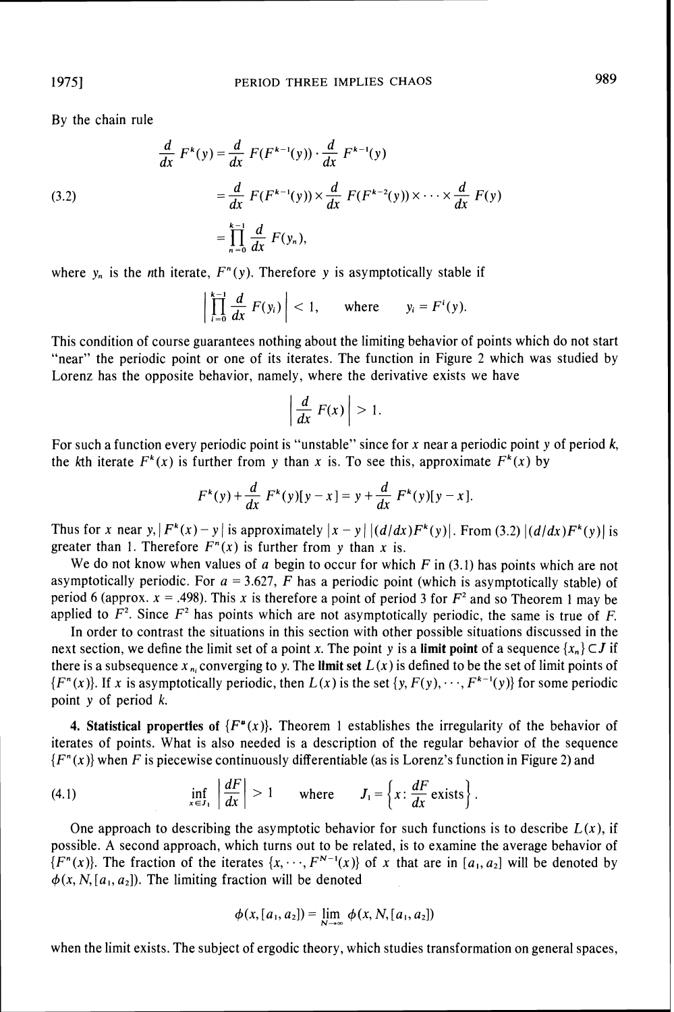By the chain rule

(3.2)  
\n
$$
\frac{d}{dx} F^{k}(y) = \frac{d}{dx} F(F^{k-1}(y)) \cdot \frac{d}{dx} F^{k-1}(y)
$$
\n
$$
= \frac{d}{dx} F(F^{k-1}(y)) \times \frac{d}{dx} F(F^{k-2}(y)) \times \dots \times \frac{d}{dx} F(y)
$$
\n
$$
= \prod_{n=0}^{k-1} \frac{d}{dx} F(y_n),
$$

where  $y_n$  is the *n*th iterate,  $F^n(y)$ . Therefore y is asymptotically stable if

$$
\left|\prod_{i=0}^{k-1}\frac{d}{dx}F(y_i)\right|<1,\qquad\text{where}\qquad y_i=F^i(y).
$$

This condition of course guarantees nothing about the limiting behavior of points which do not start "near" the periodic point or one of its iterates. The function in Figure *2* which was studied by Lorenz has the opposite behavior, namely, where the derivative exists we have

$$
\left|\frac{d}{dx} F(x)\right| > 1.
$$

For such a function every periodic point is "unstable" since for *x* near a periodic point *y* of period *k,*  the kth iterate  $F^k(x)$  is further from y than x is. To see this, approximate  $F^k(x)$  by

$$
F^{k}(y) + \frac{d}{dx} F^{k}(y)[y - x] = y + \frac{d}{dx} F^{k}(y)[y - x].
$$

Thus for *x* near *y*,  $|F^{k}(x)-y|$  is approximately  $|x-y| |(d/dx)F^{k}(y)|$ . From (3.2)  $|(d/dx)F^{k}(y)|$  is greater than 1. Therefore  $F<sup>n</sup>(x)$  is further from y than x is.

We do not know when values of *a* begin to occur for which *F* in *(3.1)*has points which are not asymptotically periodic. For  $a = 3.627$ , F has a periodic point (which is asymptotically stable) of period 6 (approx.  $x = .498$ ). This x is therefore a point of period 3 for  $F<sup>2</sup>$  and so Theorem 1 may be applied to  $F^2$ . Since  $F^2$  has points which are not asymptotically periodic, the same is true of  $F$ .

In order to contrast the situations in this section with other possible situations discussed in the next section, we define the limit set of a point *x*. The point *y* is a **limit point** of a sequence  $\{x_n\} \subset J$  if there is a subsequence  $x_{n}$  converging to y. The limit set  $L(x)$  is defined to be the set of limit points of  ${F<sup>n</sup>(x)}$ . If *x* is asymptotically periodic, then  $L(x)$  is the set  ${y, F(y), \cdots, F<sup>k-1</sup>(y)}$  for some periodic point *y* of period *k.* 

**4. Statistical properties of**  $\{F^{\mu}(x)\}\$ **. Theorem 1 establishes the irregularity of the behavior of** iterates of points. What is also needed is a description of the regular behavior of the sequence *{Fn(x)}*when *F* is piecewise continuously differentiable (as is Lorenz's function in Figure *2)* and

(4.1) 
$$
\inf_{x \in J_1} \left| \frac{dF}{dx} \right| > 1 \quad \text{where} \quad J_1 = \left\{ x : \frac{dF}{dx} \text{ exists} \right\}
$$

One approach to describing the asymptotic behavior for such functions is to describe  $L(x)$ , if possible. *A* second approach, which turns out to be related, is to examine the average behavior of *{F<sup>n</sup>(x)}*. The fraction of the iterates  $\{x, \dots, F^{N-1}(x)\}$  of *x* that are in  $[a_1, a_2]$  will be denoted by  $\phi(x, N, [a_1, a_2])$ . The limiting fraction will be denoted

$$
\phi(x,[a_1,a_2]) = \lim_{N \to \infty} \phi(x,N,[a_1,a_2])
$$

when the limit exists. The subject of ergodic theory, which studies transformation on general spaces,

19751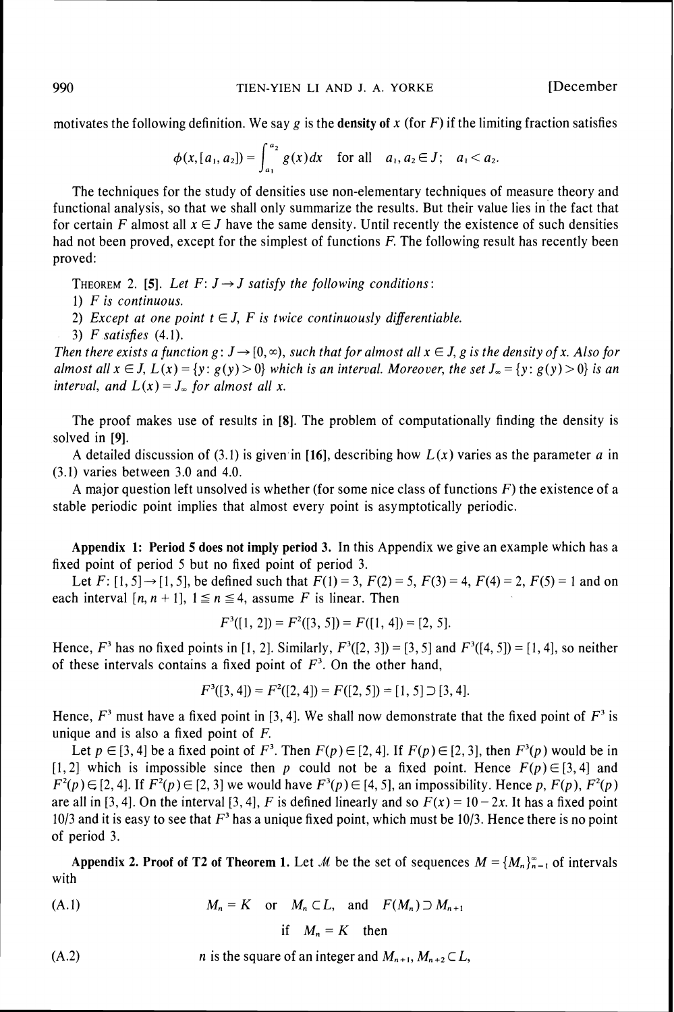motivates the following definition. We say  $g$  is the density of  $x$  (for  $F$ ) if the limiting fraction satisfies

$$
\phi(x,[a_1,a_2]) = \int_{a_1}^{a_2} g(x) dx \quad \text{for all} \quad a_1, a_2 \in J; \quad a_1 < a_2.
$$

The techniques for the study of densities use non-elementary techniques of measure theory and functional analysis, so that we shall only summarize the results. But their value lies in the fact that for certain *F* almost all  $x \in J$  have the same density. Until recently the existence of such densities had not been proved, except for the simplest of functions *F.* The following result has recently been proved:

**THEOREM 2. [5].** Let  $F: J \rightarrow J$  satisfy the following conditions:

*1) F is continuous.* 

2) Except at one point  $t \in J$ , F is twice continuously differentiable.

*3) F satisfies (4.1).* 

*Then there exists a function g:*  $J \rightarrow [0,\infty)$ *, such that for almost all*  $x \in J$ *, g is the density of x. Also for almost all*  $x \in J$ ,  $L(x) = \{y : g(y) > 0\}$  which is an interval. Moreover, the set  $J_{\infty} = \{y : g(y) > 0\}$  is an *interval, and*  $L(x) = J_{\infty}$  *for almost all x.* 

The proof makes use of results in **[8].** The problem of computationally finding the density is solved in **[9].** 

A detailed discussion of  $(3.1)$  is given in [16], describing how  $L(x)$  varies as the parameter *a* in *(3.1)* varies between *3.0* and *4.0.* 

A major question left unsolved is whether (for some nice class of functions *F)* the existence of a stable periodic point implies that almost every point is asymptotically periodic.

**Appendix 1: Period 5 does not imply period 3.** In this Appendix we give an example which has a fixed point of period *5* but no fixed point of period *3.* 

Let  $F: [1, 5] \rightarrow [1, 5]$ , be defined such that  $F(1) = 3$ ,  $F(2) = 5$ ,  $F(3) = 4$ ,  $F(4) = 2$ ,  $F(5) = 1$  and on each interval  $[n, n + 1]$ ,  $1 \le n \le 4$ , assume *F* is linear. Then

$$
F^3([1, 2]) = F^2([3, 5]) = F([1, 4]) = [2, 5].
$$

Hence,  $F^3$  has no fixed points in [1, 2]. Similarly,  $F^3([2, 3]) = [3, 5]$  and  $F^3([4, 5]) = [1, 4]$ , so neither of these intervals contains a fixed point of  $F<sup>3</sup>$ . On the other hand,

$$
F^{3}([3, 4]) = F^{2}([2, 4]) = F([2, 5]) = [1, 5] \supset [3, 4].
$$

Hence,  $F^3$  must have a fixed point in [3, 4]. We shall now demonstrate that the fixed point of  $F^3$  is unique and is also a fixed point of *F.* 

Let  $p \in [3, 4]$  be a fixed point of  $F^3$ . Then  $F(p) \in [2, 4]$ . If  $F(p) \in [2, 3]$ , then  $F^3(p)$  would be in  $[1, 2]$  which is impossible since then *p* could not be a fixed point. Hence  $F(p) \in [3, 4]$  and  $F^{2}(p) \in [2, 4]$ . If  $F^{2}(p) \in [2, 3]$  we would have  $F^{3}(p) \in [4, 5]$ , an impossibility. Hence p,  $F(p)$ ,  $F^{2}(p)$ are all in [3, 4]. On the interval [3, 4], F is defined linearly and so  $F(x) = 10 - 2x$ . It has a fixed point *1013* and it is easy to see that *F 3*has a unique fixed point, which must be *1013.* Hence there is no point of period *3.* 

**Appendix 2. Proof of T2 of Theorem 1. Let M** be the set of sequences  $M = \{M_n\}_{n=1}^{\infty}$  of intervals with

$$
(A.1) \t Mn = K \t or \t Mn \subset L, \t and \t F(Mn) \supset Mn+1
$$

if 
$$
M_n = K
$$
 then

(A.2) *n* is the square of an integer and  $M_{n+1}$ ,  $M_{n+2} \subset L$ ,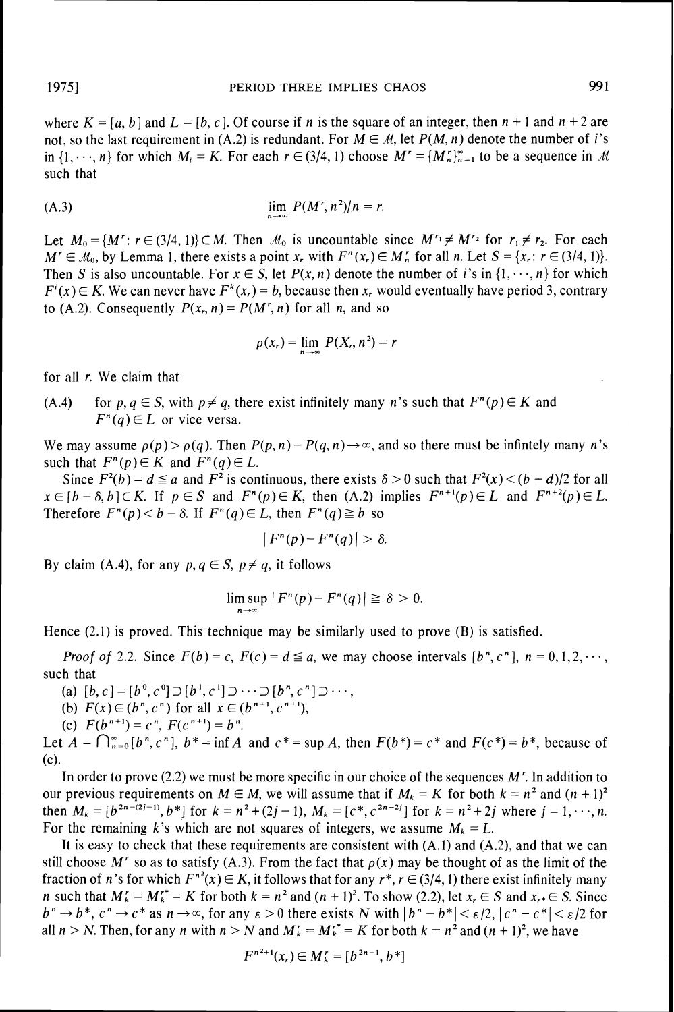where  $K = [a, b]$  and  $L = [b, c]$ . Of course if *n* is the square of an integer, then  $n + 1$  and  $n + 2$  are not, so the last requirement in (A.2) is redundant. For  $M \in \mathcal{M}$ , let  $P(M, n)$  denote the number of i's in  $\{1, \dots, n\}$  for which  $M_i = K$ . For each  $r \in (3/4, 1)$  choose  $M' = \{M'_n\}_{n=1}^{\infty}$  to be a sequence in  $\mathcal M$ such that

$$
\lim_{n \to \infty} P(M', n^2)/n = r.
$$

Let  $M_0 = \{M': r \in (3/4, 1)\} \subset M$ . Then  $M_0$  is uncountable since  $M' \neq M'$  for  $r_1 \neq r_2$ . For each  $M' \in \mathcal{M}_0$ , by Lemma 1, there exists a point *x<sub>r</sub>* with  $F^n(x_r) \in M'_n$  for all *n*. Let  $S = \{x_r : r \in (3/4, 1)\}.$ Then *S* is also uncountable. For  $x \in S$ , let  $P(x, n)$  denote the number of i's in  $\{1, \dots, n\}$  for which  $F^{i}(x) \in K$ . We can never have  $F^{k}(x_{r}) = b$ , because then *x*, would eventually have period 3, contrary to (A.2). Consequently  $P(x_n, n) = P(M', n)$  for all *n*, and so

$$
\rho(x_r) = \lim_{n \to \infty} P(X_r, n^2) = r
$$

for all *r.* We claim that

*(A.4)* for  $p, q \in S$ , with  $p \neq q$ , there exist infinitely many *n*'s such that  $F^{n}(p) \in K$  and  $F^{n}(q) \in L$  or vice versa.

We may assume  $\rho(p) > \rho(q)$ . Then  $P(p, n) - P(q, n) \rightarrow \infty$ , and so there must be infinitely many n's such that  $F^n(p) \in K$  and  $F^n(q) \in L$ .

Since  $F^2(b) = d \le a$  and  $F^2$  is continuous, there exists  $\delta > 0$  such that  $F^2(x) < (b + d)/2$  for all  $x \in [b - \delta, b] \subset K$ . If  $p \in S$  and  $F^n(p) \in K$ , then *(A.2)* implies  $F^{n+1}(p) \in L$  and  $F^{n+2}(p) \in L$ . Therefore  $F^n(p) < b - \delta$ . If  $F^n(q) \in L$ , then  $F^n(q) \geq b$  so

$$
|F^n(p)-F^n(q)|>\delta.
$$

By claim (A.4), for any  $p, q \in S$ ,  $p \neq q$ , it follows

$$
\limsup |F^n(p) - F^n(q)| \ge \delta > 0.
$$

Hence *(2.1)* is proved. This technique may be similarly used to prove (B) is satisfied.

 $n \rightarrow \infty$ 

*Proof of 2.2.* Since  $F(b) = c$ ,  $F(c) = d \le a$ , we may choose intervals  $[b^n, c^n]$ ,  $n = 0, 1, 2, \dots$ , such that

(a)  $[b, c] = [b^0, c^0] \supset [b^1, c^1] \supset \cdots \supset [b^n, c^n] \supset \cdots$ 

(b)  $F(x) \in (b^n, c^n)$  for all  $x \in (b^{n+1}, c^{n+1}),$ 

(c)  $F(b^{n+1}) = c^n$ ,  $F(c^{n+1}) = b^n$ .

Let  $A = \bigcap_{n=0}^{\infty} [b^n, c^n]$ ,  $b^* = \inf A$  and  $c^* = \sup A$ , then  $F(b^*) = c^*$  and  $F(c^*) = b^*$ , because of (c).

In order to prove  $(2.2)$  we must be more specific in our choice of the sequences  $M<sup>r</sup>$ . In addition to our previous requirements on  $M \in M$ , we will assume that if  $M_k = K$  for both  $k = n^2$  and  $(n + 1)^2$ then  $M_k = [b^{2n-(2j-1)}, b^*]$  for  $k = n^2 + (2j-1), M_k = [c^*, c^{2n-2j}]$  for  $k = n^2 + 2j$  where  $j = 1, \dots, n$ . For the remaining k's which are not squares of integers, we assume  $M_k = L$ .

It is easy to check that these requirements are consistent with *(A.l)*and *(A.2),*and that we can still choose M' so as to satisfy (A.3). From the fact that  $\rho(x)$  may be thought of as the limit of the fraction of *n*'s for which  $F^{n^2}(x) \in K$ , it follows that for any  $r^*$ ,  $r \in (3/4, 1)$  there exist infinitely many *n* such that  $M'_k = M'^*_k = K$  for both  $k = n^2$  and  $(n + 1)^2$ . To show (2.2), let  $x_r \in S$  and  $x_r \in S$ . Since  $b^n \rightarrow b^*$ ,  $c^n \rightarrow c^*$  as  $n \rightarrow \infty$ , for any  $\epsilon > 0$  there exists N with  $|b^n - b^*| < \epsilon/2$ ,  $|c^n - c^*| < \epsilon/2$  for all  $n > N$ . Then, for any *n* with  $n > N$  and  $M'_k = M'^* = K$  for both  $k = n^2$  and  $(n + 1)^2$ , we have

$$
F^{n^2+1}(x_r) \in M'_k = [b^{2n-1}, b^*]
$$